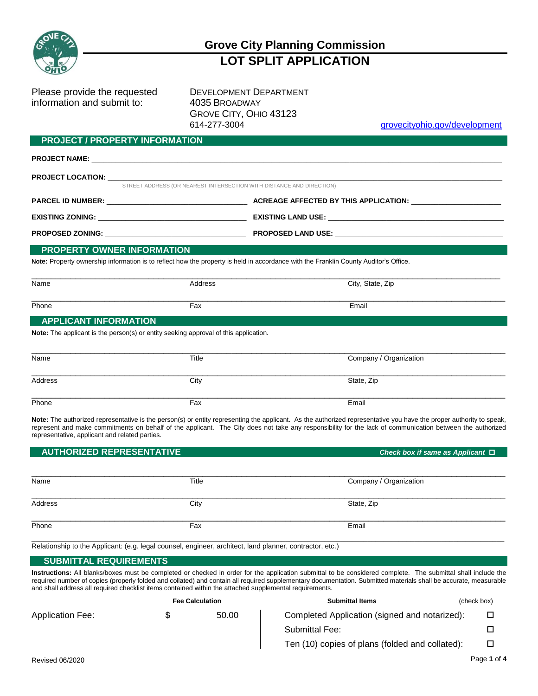

## **Grove City Planning Commission LOT SPLIT APPLICATION**

Please provide the requested DEVELOPMENT DEPARTMENT information and submit to: 4035 BROADWAY

**PROJECT / PROPERTY INFORMATION**

GROVE CITY, OHIO 43123 614-277-3004 grovecityohio.gov/development

| <b>FROJECT / FROFERT LINI ORMATION</b>                                                                                               |         |                                                                      |  |
|--------------------------------------------------------------------------------------------------------------------------------------|---------|----------------------------------------------------------------------|--|
|                                                                                                                                      |         |                                                                      |  |
|                                                                                                                                      |         |                                                                      |  |
|                                                                                                                                      |         | STREET ADDRESS (OR NEAREST INTERSECTION WITH DISTANCE AND DIRECTION) |  |
|                                                                                                                                      |         |                                                                      |  |
|                                                                                                                                      |         |                                                                      |  |
|                                                                                                                                      |         |                                                                      |  |
| <b>PROPERTY OWNER INFORMATION</b>                                                                                                    |         |                                                                      |  |
| Note: Property ownership information is to reflect how the property is held in accordance with the Franklin County Auditor's Office. |         |                                                                      |  |
| Name                                                                                                                                 | Address | City, State, Zip                                                     |  |
| Phone                                                                                                                                | Fax     | Email                                                                |  |
| <b>APPLICANT INFORMATION</b>                                                                                                         |         |                                                                      |  |
| <b>Note:</b> The applicant is the person(s) or entity seeking approval of this application.                                          |         |                                                                      |  |

| Name    | Title | Company / Organization |
|---------|-------|------------------------|
| Address | City  | State, Zip             |
| Phone   | Fax   | Email                  |

**Note:** The authorized representative is the person(s) or entity representing the applicant. As the authorized representative you have the proper authority to speak, represent and make commitments on behalf of the applicant. The City does not take any responsibility for the lack of communication between the authorized representative, applicant and related parties.

| <b>AUTHORIZED REPRESENTATIVE</b> |       | Check box if same as Applicant $\square$ |
|----------------------------------|-------|------------------------------------------|
| Name                             | Title | Company / Organization                   |
| Address                          | City  | State, Zip                               |
| Phone                            | Fax   | Email                                    |

Relationship to the Applicant: (e.g. legal counsel, engineer, architect, land planner, contractor, etc.)

## **SUBMITTAL REQUIREMENTS**

**Instructions:** All blanks/boxes must be completed or checked in order for the application submittal to be considered complete. The submittal shall include the required number of copies (properly folded and collated) and contain all required supplementary documentation. Submitted materials shall be accurate, measurable and shall address all required checklist items contained within the attached supplemental requirements.

|       | <b>Submittal Items</b>                          | (check box) |
|-------|-------------------------------------------------|-------------|
| 50.00 | Completed Application (signed and notarized):   |             |
|       | <b>Submittal Fee:</b>                           |             |
|       | Ten (10) copies of plans (folded and collated): |             |
|       | <b>Fee Calculation</b>                          |             |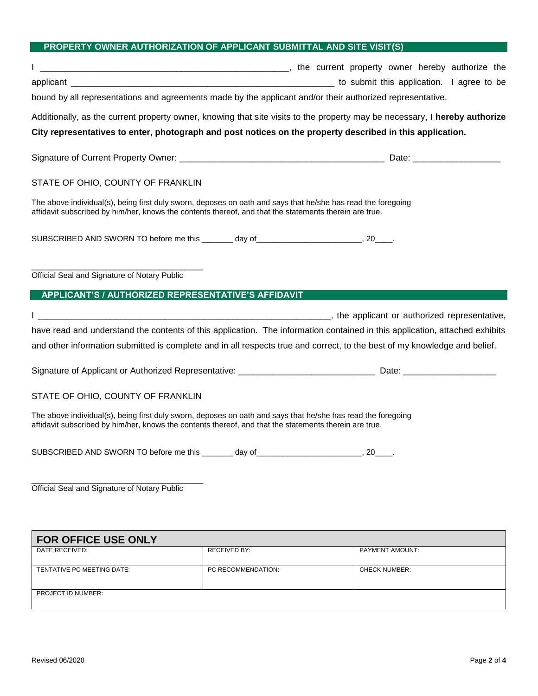## **PROPERTY OWNER AUTHORIZATION OF APPLICANT SUBMITTAL AND SITE VISIT(S)**

| the current property owner hereby authorize the contract of the content of the current property owner hereby authorize the                                                                                             |  |
|------------------------------------------------------------------------------------------------------------------------------------------------------------------------------------------------------------------------|--|
|                                                                                                                                                                                                                        |  |
| bound by all representations and agreements made by the applicant and/or their authorized representative.                                                                                                              |  |
| Additionally, as the current property owner, knowing that site visits to the property may be necessary, I hereby authorize                                                                                             |  |
| City representatives to enter, photograph and post notices on the property described in this application.                                                                                                              |  |
|                                                                                                                                                                                                                        |  |
| STATE OF OHIO, COUNTY OF FRANKLIN                                                                                                                                                                                      |  |
| The above individual(s), being first duly sworn, deposes on oath and says that he/she has read the foregoing<br>affidavit subscribed by him/her, knows the contents thereof, and that the statements therein are true. |  |
| SUBSCRIBED AND SWORN TO before me this _______ day of___________________________, 20____.                                                                                                                              |  |
| Official Seal and Signature of Notary Public<br>APPLICANT'S / AUTHORIZED REPRESENTATIVE'S AFFIDAVIT                                                                                                                    |  |
| I example a presentative, the applicant or authorized representative,                                                                                                                                                  |  |
| have read and understand the contents of this application. The information contained in this application, attached exhibits                                                                                            |  |
| and other information submitted is complete and in all respects true and correct, to the best of my knowledge and belief.                                                                                              |  |
|                                                                                                                                                                                                                        |  |
| STATE OF OHIO, COUNTY OF FRANKLIN                                                                                                                                                                                      |  |
| The above individual(s), being first duly sworn, deposes on oath and says that he/she has read the foregoing<br>affidavit subscribed by him/her, knows the contents thereof, and that the statements therein are true. |  |
| SUBSCRIBED AND SWORN TO before me this _______ day of __________________________, 20____.                                                                                                                              |  |
| Official Seal and Signature of Notary Public                                                                                                                                                                           |  |

| <b>FOR OFFICE USE ONLY</b> |                    |                        |
|----------------------------|--------------------|------------------------|
| DATE RECEIVED:             | RECEIVED BY:       | <b>PAYMENT AMOUNT:</b> |
|                            |                    |                        |
| TENTATIVE PC MEETING DATE: | PC RECOMMENDATION: | <b>CHECK NUMBER:</b>   |
|                            |                    |                        |
| <b>PROJECT ID NUMBER:</b>  |                    |                        |
|                            |                    |                        |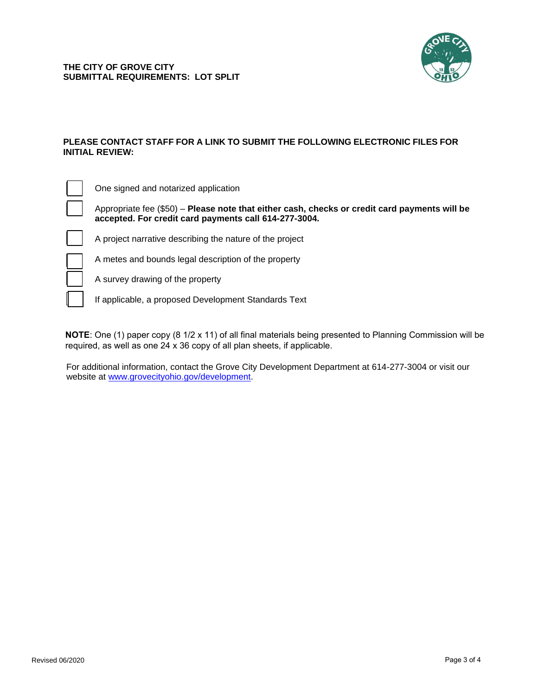

## **PLEASE CONTACT STAFF FOR A LINK TO SUBMIT THE FOLLOWING ELECTRONIC FILES FOR INITIAL REVIEW:**

| . ).     |
|----------|
| Ar<br>ac |
|          |
|          |
|          |

 $\Box$ 

One signed and notarized application

Appropriate fee (\$50) – **Please note that either cash, checks or credit card payments will be accepted. For credit card payments call 614-277-3004.**

project narrative describing the nature of the project

metes and bounds legal description of the property



A survey drawing of the property

If applicable, a proposed Development Standards Text

**NOTE**: O[ne \(1\) paper copy \(8 1/2 x 11\) of all fin](http://www.grovecityohio.gov/development)al materials being presented to Planning Commission will be required, as well as one 24 x 36 copy of all plan sheets, if applicable.

For additional information, contact the Grove City Development Department at 614-277-3004 or visit our website at www.grovecityohio.gov/development.